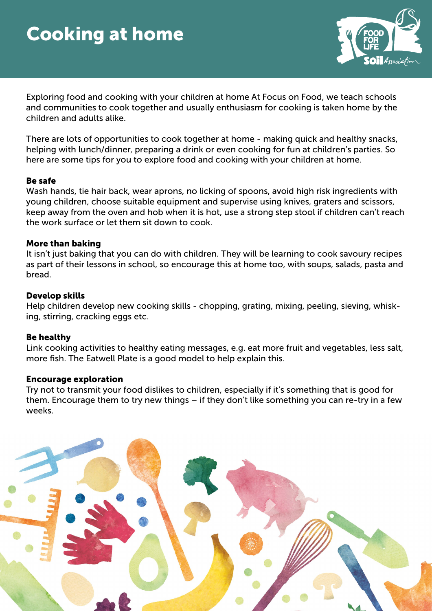# Cooking at home



Exploring food and cooking with your children at home At Focus on Food, we teach schools and communities to cook together and usually enthusiasm for cooking is taken home by the children and adults alike.

There are lots of opportunities to cook together at home - making quick and healthy snacks, helping with lunch/dinner, preparing a drink or even cooking for fun at children's parties. So here are some tips for you to explore food and cooking with your children at home.

## Be safe

Wash hands, tie hair back, wear aprons, no licking of spoons, avoid high risk ingredients with young children, choose suitable equipment and supervise using knives, graters and scissors, keep away from the oven and hob when it is hot, use a strong step stool if children can't reach the work surface or let them sit down to cook.

## More than baking

It isn't just baking that you can do with children. They will be learning to cook savoury recipes as part of their lessons in school, so encourage this at home too, with soups, salads, pasta and bread.

## Develop skills

Help children develop new cooking skills - chopping, grating, mixing, peeling, sieving, whisking, stirring, cracking eggs etc.

#### Be healthy

Link cooking activities to healthy eating messages, e.g. eat more fruit and vegetables, less salt, more fish. The Eatwell Plate is a good model to help explain this.

#### Encourage exploration

Try not to transmit your food dislikes to children, especially if it's something that is good for them. Encourage them to try new things – if they don't like something you can re-try in a few weeks.